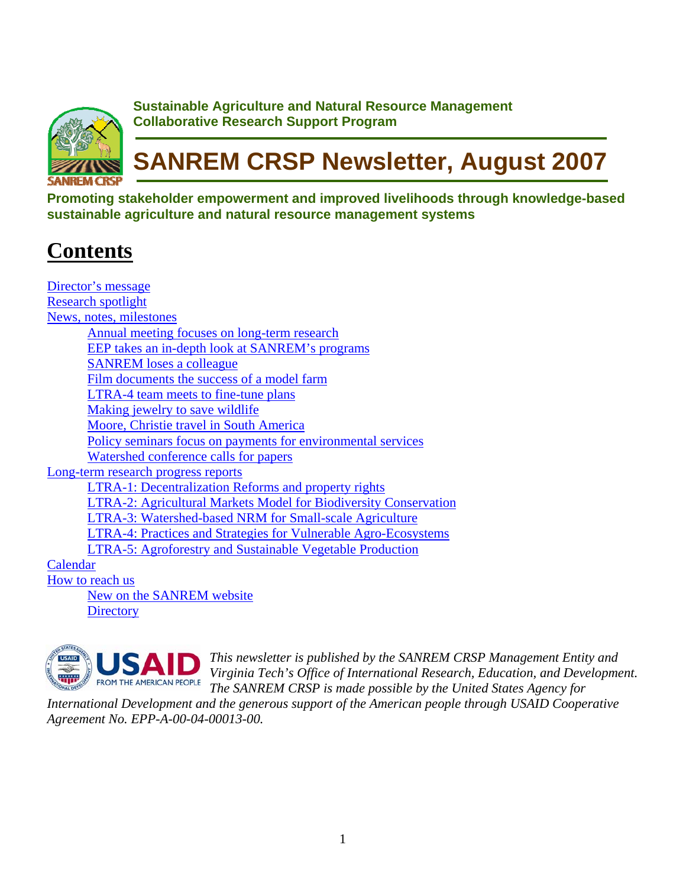

**Sustainable Agriculture and Natural Resource Management Collaborative Research Support Program**

# **SANREM CRSP Newsletter, August 2007**

**Promoting stakeholder empowerment and improved livelihoods through knowledge-based sustainable agriculture and natural resource management systems** 

# **Contents**

| Director's message                                                      |  |  |
|-------------------------------------------------------------------------|--|--|
| <b>Research spotlight</b>                                               |  |  |
| News, notes, milestones                                                 |  |  |
| <u>Annual meeting focuses on long-term research</u>                     |  |  |
| <b>EEP</b> takes an in-depth look at SANREM's programs                  |  |  |
| <b>SANREM</b> loses a colleague                                         |  |  |
| Film documents the success of a model farm                              |  |  |
| <b>LTRA-4 team meets to fine-tune plans</b>                             |  |  |
| Making jewelry to save wildlife                                         |  |  |
| Moore, Christie travel in South America                                 |  |  |
| Policy seminars focus on payments for environmental services            |  |  |
| <u>Watershed conference calls for papers</u>                            |  |  |
| Long-term research progress reports                                     |  |  |
| <b>LTRA-1: Decentralization Reforms and property rights</b>             |  |  |
| <b>LTRA-2: Agricultural Markets Model for Biodiversity Conservation</b> |  |  |
| LTRA-3: Watershed-based NRM for Small-scale Agriculture                 |  |  |
| <b>LTRA-4: Practices and Strategies for Vulnerable Agro-Ecosystems</b>  |  |  |
| <b>LTRA-5: Agroforestry and Sustainable Vegetable Production</b>        |  |  |
| Calendar                                                                |  |  |
| How to reach us                                                         |  |  |
| New on the SANREM website                                               |  |  |
| <b>Directory</b>                                                        |  |  |



*This newsletter is published by the SANREM CRSP Management Entity and Virginia Tech's Office of International Research, Education, and D evelopment. The SANREM CRSP is made possible by the United States Agency for* 

*International Development and the generous support of the American people through USAID Cooperative Agreement No. EPP-A-00-04-00013-00.*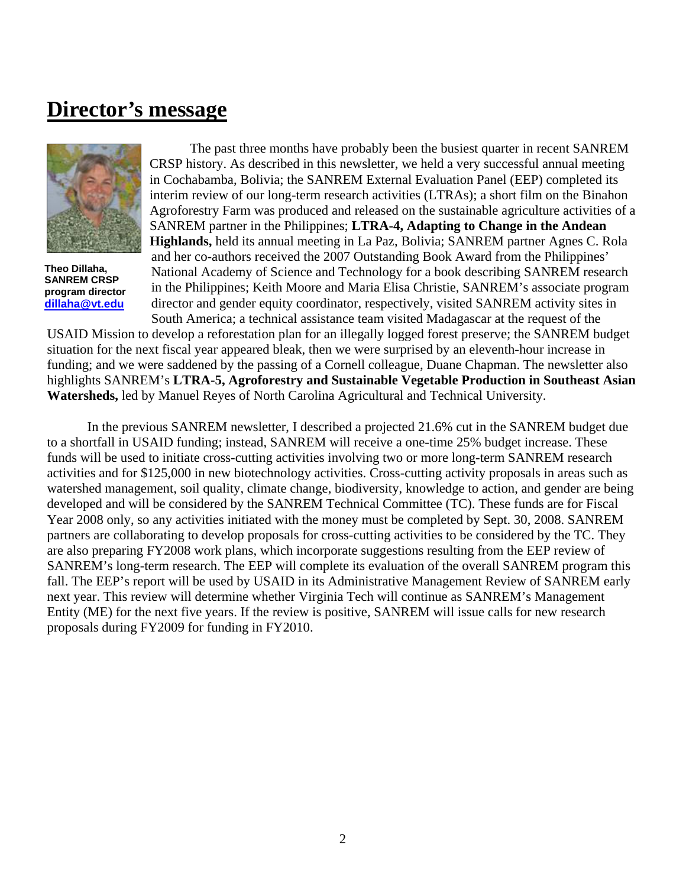### <span id="page-1-0"></span>**Director's message**



**Theo Dillaha, SANREM CRSP program director [dillaha@vt.edu](mailto:dillaha@vt.edu)**

The past three months have probably been the busiest quarter in recent SANREM CRSP history. As described in this newsletter, we held a very successful annual meeting in Cochabamba, Bolivia; the SANREM External Evaluation Panel (EEP) completed its interim review of our long-term research activities (LTRAs); a short film on the Binahon Agroforestry Farm was produced and released on the sustainable agriculture activities of a SANREM partner in the Philippines; **LTRA-4, Adapting to Change in the Andean Highlands,** held its annual meeting in La Paz, Bolivia; SANREM partner Agnes C. Rola and her co-authors received the 2007 Outstanding Book Award from the Philippines' National Academy of Science and Technology for a book describing SANREM research in the Philippines; Keith Moore and Maria Elisa Christie, SANREM's associate program director and gender equity coordinator, respectively, visited SANREM activity sites in South America; a technical assistance team visited Madagascar at the request of the

USAID Mission to develop a reforestation plan for an illegally logged forest preserve; the SANREM budget situation for the next fiscal year appeared bleak, then we were surprised by an eleventh-hour increase in funding; and we were saddened by the passing of a Cornell colleague, Duane Chapman. The newsletter also highlights SANREM's **LTRA-5, Agroforestry and Sustainable Vegetable Production in Southeast Asian Watersheds,** led by Manuel Reyes of North Carolina Agricultural and Technical University.

In the previous SANREM newsletter, I described a projected 21.6% cut in the SANREM budget due to a shortfall in USAID funding; instead, SANREM will receive a one-time 25% budget increase. These funds will be used to initiate cross-cutting activities involving two or more long-term SANREM research activities and for \$125,000 in new biotechnology activities. Cross-cutting activity proposals in areas such as watershed management, soil quality, climate change, biodiversity, knowledge to action, and gender are being developed and will be considered by the SANREM Technical Committee (TC). These funds are for Fiscal Year 2008 only, so any activities initiated with the money must be completed by Sept. 30, 2008. SANREM partners are collaborating to develop proposals for cross-cutting activities to be considered by the TC. They are also preparing FY2008 work plans, which incorporate suggestions resulting from the EEP review of SANREM's long-term research. The EEP will complete its evaluation of the overall SANREM program this fall. The EEP's report will be used by USAID in its Administrative Management Review of SANREM early next year. This review will determine whether Virginia Tech will continue as SANREM's Management Entity (ME) for the next five years. If the review is positive, SANREM will issue calls for new research proposals during FY2009 for funding in FY2010.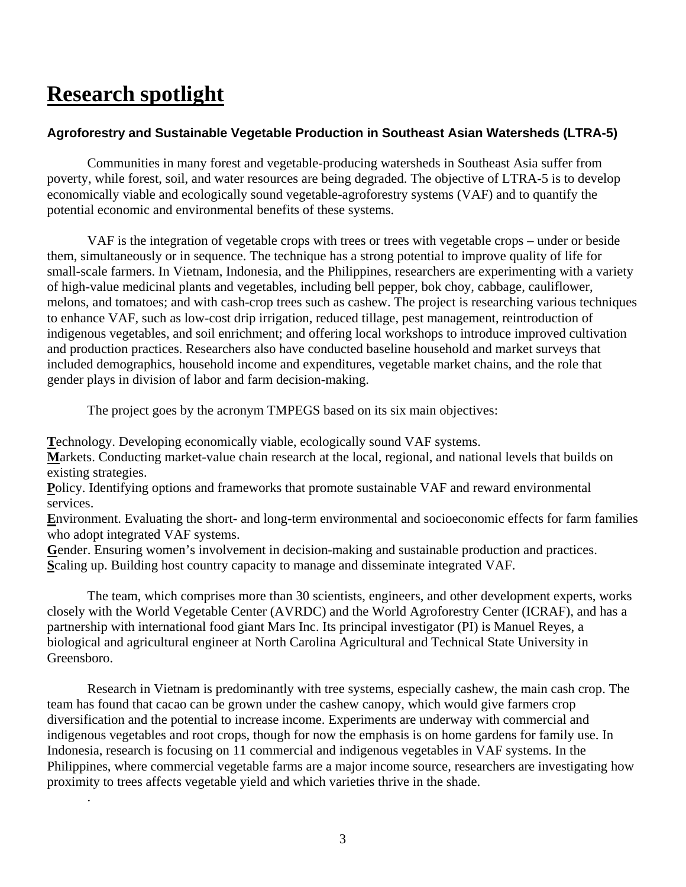# **Research spotlight**

.

#### **Agroforestry and Sustainable Vegetable Production in Southeast Asian Watersheds (LTRA-5)**

Communities in many forest and vegetable-producing watersheds in Southeast Asia suffer from poverty, while forest, soil, and water resources are being degraded. The objective of LTRA-5 is to develop economically viable and ecologically sound vegetable-agroforestry systems (VAF) and to quantify the potential economic and environmental benefits of these systems.

VAF is the integration of vegetable crops with trees or trees with vegetable crops – under or beside them, simultaneously or in sequence. The technique has a strong potential to improve quality of life for small-scale farmers. In Vietnam, Indonesia, and the Philippines, researchers are experimenting with a variety of high-value medicinal plants and vegetables, including bell pepper, bok choy, cabbage, cauliflower, melons, and tomatoes; and with cash-crop trees such as cashew. The project is researching various techniques to enhance VAF, such as low-cost drip irrigation, reduced tillage, pest management, reintroduction of indigenous vegetables, and soil enrichment; and offering local workshops to introduce improved cultivation and production practices. Researchers also have conducted baseline household and market surveys that included demographics, household income and expenditures, vegetable market chains, and the role that gender plays in division of labor and farm decision-making.

The project goes by the acronym TMPEGS based on its six main objectives:

**T**echnology. Developing economically viable, ecologically sound VAF systems.

**M**arkets. Conducting market-value chain research at the local, regional, and national levels that builds on existing strategies.

**P**olicy. Identifying options and frameworks that promote sustainable VAF and reward environmental services.

**E**nvironment. Evaluating the short- and long-term environmental and socioeconomic effects for farm families who adopt integrated VAF systems.

Gender. Ensuring women's involvement in decision-making and sustainable production and practices. **S**caling up. Building host country capacity to manage and disseminate integrated VAF.

The team, which comprises more than 30 scientists, engineers, and other development experts, works closely with the World Vegetable Center (AVRDC) and the World Agroforestry Center (ICRAF), and has a partnership with international food giant Mars Inc. Its principal investigator (PI) is Manuel Reyes, a biological and agricultural engineer at North Carolina Agricultural and Technical State University in Greensboro.

Research in Vietnam is predominantly with tree systems, especially cashew, the main cash crop. The team has found that cacao can be grown under the cashew canopy, which would give farmers crop diversification and the potential to increase income. Experiments are underway with commercial and indigenous vegetables and root crops, though for now the emphasis is on home gardens for family use. In Indonesia, research is focusing on 11 commercial and indigenous vegetables in VAF systems. In the Philippines, where commercial vegetable farms are a major income source, researchers are investigating how proximity to trees affects vegetable yield and which varieties thrive in the shade.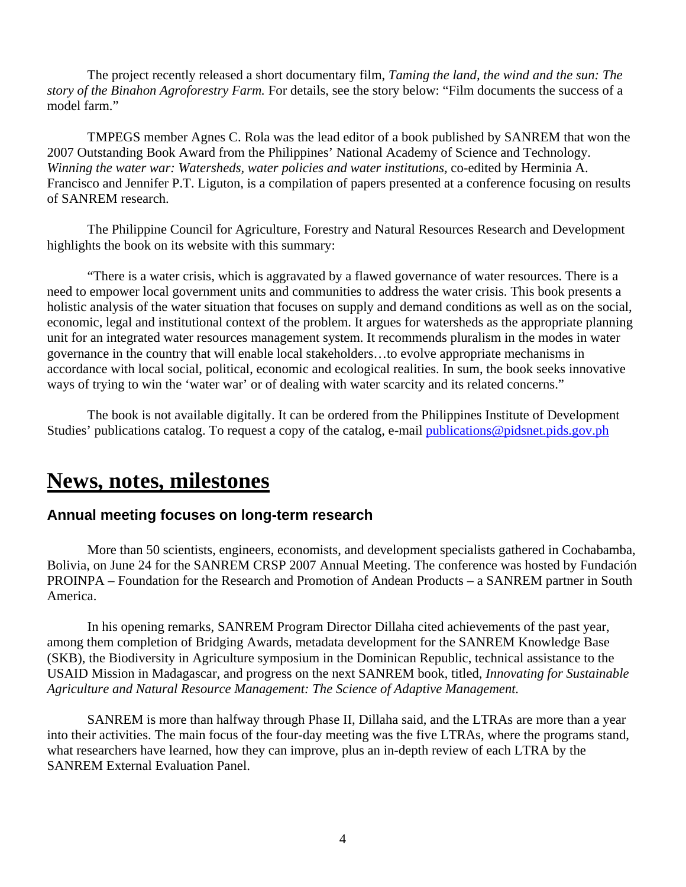<span id="page-3-0"></span>The project recently released a short documentary film, *Taming the land, the wind and the sun: The story of the Binahon Agroforestry Farm.* For details, see the story below: "Film documents the success of a model farm."

TMPEGS member Agnes C. Rola was the lead editor of a book published by SANREM that won the 2007 Outstanding Book Award from the Philippines' National Academy of Science and Technology. *Winning the water war: Watersheds, water policies and water institutions,* co-edited by Herminia A. Francisco and Jennifer P.T. Liguton, is a compilation of papers presented at a conference focusing on results of SANREM research.

The Philippine Council for Agriculture, Forestry and Natural Resources Research and Development highlights the book on its website with this summary:

"There is a water crisis, which is aggravated by a flawed governance of water resources. There is a need to empower local government units and communities to address the water crisis. This book presents a holistic analysis of the water situation that focuses on supply and demand conditions as well as on the social, economic, legal and institutional context of the problem. It argues for watersheds as the appropriate planning unit for an integrated water resources management system. It recommends pluralism in the modes in water governance in the country that will enable local stakeholders…to evolve appropriate mechanisms in accordance with local social, political, economic and ecological realities. In sum, the book seeks innovative ways of trying to win the 'water war' or of dealing with water scarcity and its related concerns."

The book is not available digitally. It can be ordered from the Philippines Institute of Development Studies' publications catalog. To request a copy of the catalog, e-mail [publications@pidsnet.pids.gov.ph](mailto:publications@pidsnet.pids.gov.ph)

### **News, notes, milestones**

#### **Annual meeting focuses on long-term research**

More than 50 scientists, engineers, economists, and development specialists gathered in Cochabamba, Bolivia, on June 24 for the SANREM CRSP 2007 Annual Meeting. The conference was hosted by Fundación PROINPA – Foundation for the Research and Promotion of Andean Products – a SANREM partner in South America.

In his opening remarks, SANREM Program Director Dillaha cited achievements of the past year, among them completion of Bridging Awards, metadata development for the SANREM Knowledge Base (SKB), the Biodiversity in Agriculture symposium in the Dominican Republic, technical assistance to the USAID Mission in Madagascar, and progress on the next SANREM book, titled, *Innovating for Sustainable Agriculture and Natural Resource Management: The Science of Adaptive Management.*

SANREM is more than halfway through Phase II, Dillaha said, and the LTRAs are more than a year into their activities. The main focus of the four-day meeting was the five LTRAs, where the programs stand, what researchers have learned, how they can improve, plus an in-depth review of each LTRA by the SANREM External Evaluation Panel.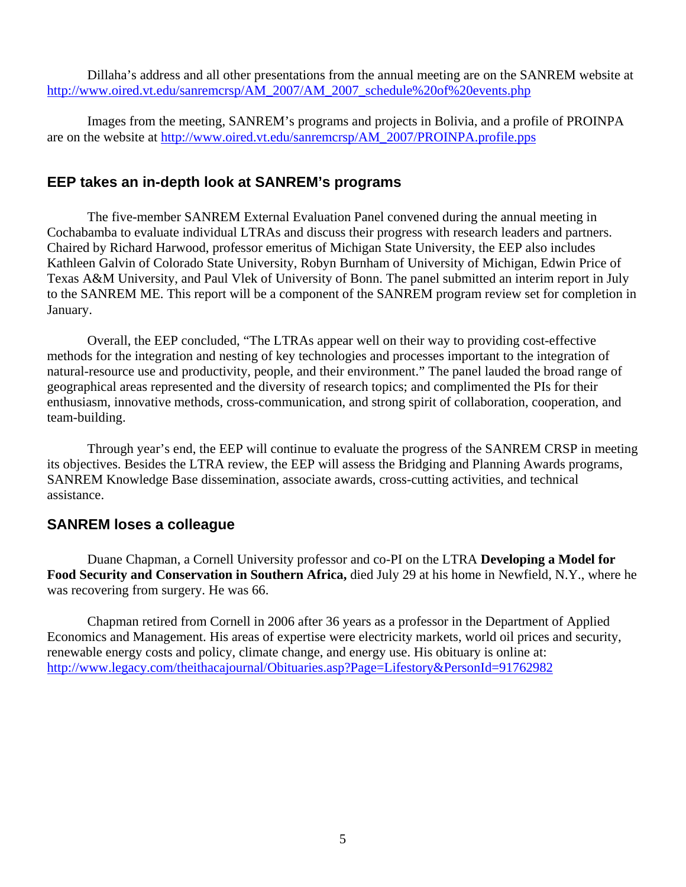<span id="page-4-0"></span>Dillaha's address and all other presentations from the annual meeting are on the SANREM website at [http://www.oired.vt.edu/sanremcrsp/AM\\_2007/AM\\_2007\\_schedule%20of%20events.php](http://www.oired.vt.edu/sanremcrsp/AM_2007/AM_2007_schedule%20of%20events.php)

Images from the meeting, SANREM's programs and projects in Bolivia, and a profile of PROINPA are on the website at [http://www.oired.vt.edu/sanremcrsp/AM\\_2007/PROINPA.profile.pps](http://www.oired.vt.edu/sanremcrsp/AM_2007/PROINPA.profile.pps)

#### **EEP takes an in-depth look at SANREM's programs**

The five-member SANREM External Evaluation Panel convened during the annual meeting in Cochabamba to evaluate individual LTRAs and discuss their progress with research leaders and partners. Chaired by Richard Harwood, professor emeritus of Michigan State University, the EEP also includes Kathleen Galvin of Colorado State University, Robyn Burnham of University of Michigan, Edwin Price of Texas A&M University, and Paul Vlek of University of Bonn. The panel submitted an interim report in July to the SANREM ME. This report will be a component of the SANREM program review set for completion in January.

Overall, the EEP concluded, "The LTRAs appear well on their way to providing cost-effective methods for the integration and nesting of key technologies and processes important to the integration of natural-resource use and productivity, people, and their environment." The panel lauded the broad range of geographical areas represented and the diversity of research topics; and complimented the PIs for their enthusiasm, innovative methods, cross-communication, and strong spirit of collaboration, cooperation, and team-building.

Through year's end, the EEP will continue to evaluate the progress of the SANREM CRSP in meeting its objectives. Besides the LTRA review, the EEP will assess the Bridging and Planning Awards programs, SANREM Knowledge Base dissemination, associate awards, cross-cutting activities, and technical assistance.

#### **SANREM loses a colleague**

Duane Chapman, a Cornell University professor and co-PI on the LTRA **Developing a Model for Food Security and Conservation in Southern Africa,** died July 29 at his home in Newfield, N.Y., where he was recovering from surgery. He was 66.

Chapman retired from Cornell in 2006 after 36 years as a professor in the Department of Applied Economics and Management. His areas of expertise were electricity markets, world oil prices and security, renewable energy costs and policy, climate change, and energy use. His obituary is online at: <http://www.legacy.com/theithacajournal/Obituaries.asp?Page=Lifestory&PersonId=91762982>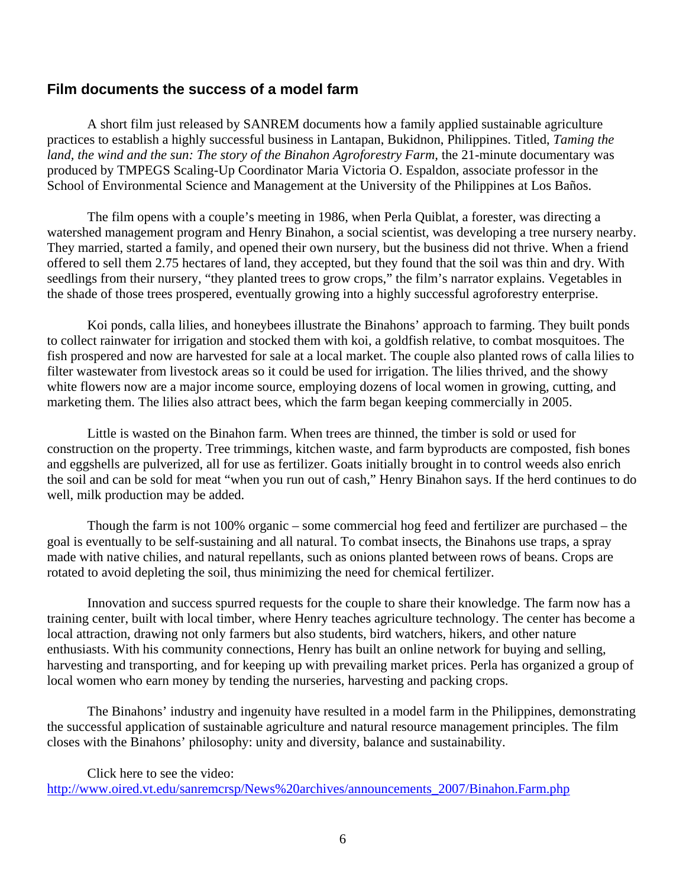#### <span id="page-5-0"></span>**Film documents the success of a model farm**

A short film just released by SANREM documents how a family applied sustainable agriculture practices to establish a highly successful business in Lantapan, Bukidnon, Philippines. Titled, *Taming the land, the wind and the sun: The story of the Binahon Agroforestry Farm,* the 21-minute documentary was produced by TMPEGS Scaling-Up Coordinator Maria Victoria O. Espaldon, associate professor in the School of Environmental Science and Management at the University of the Philippines at Los Baños.

The film opens with a couple's meeting in 1986, when Perla Quiblat, a forester, was directing a watershed management program and Henry Binahon, a social scientist, was developing a tree nursery nearby. They married, started a family, and opened their own nursery, but the business did not thrive. When a friend offered to sell them 2.75 hectares of land, they accepted, but they found that the soil was thin and dry. With seedlings from their nursery, "they planted trees to grow crops," the film's narrator explains. Vegetables in the shade of those trees prospered, eventually growing into a highly successful agroforestry enterprise.

Koi ponds, calla lilies, and honeybees illustrate the Binahons' approach to farming. They built ponds to collect rainwater for irrigation and stocked them with koi, a goldfish relative, to combat mosquitoes. The fish prospered and now are harvested for sale at a local market. The couple also planted rows of calla lilies to filter wastewater from livestock areas so it could be used for irrigation. The lilies thrived, and the showy white flowers now are a major income source, employing dozens of local women in growing, cutting, and marketing them. The lilies also attract bees, which the farm began keeping commercially in 2005.

Little is wasted on the Binahon farm. When trees are thinned, the timber is sold or used for construction on the property. Tree trimmings, kitchen waste, and farm byproducts are composted, fish bones and eggshells are pulverized, all for use as fertilizer. Goats initially brought in to control weeds also enrich the soil and can be sold for meat "when you run out of cash," Henry Binahon says. If the herd continues to do well, milk production may be added.

Though the farm is not 100% organic – some commercial hog feed and fertilizer are purchased – the goal is eventually to be self-sustaining and all natural. To combat insects, the Binahons use traps, a spray made with native chilies, and natural repellants, such as onions planted between rows of beans. Crops are rotated to avoid depleting the soil, thus minimizing the need for chemical fertilizer.

Innovation and success spurred requests for the couple to share their knowledge. The farm now has a training center, built with local timber, where Henry teaches agriculture technology. The center has become a local attraction, drawing not only farmers but also students, bird watchers, hikers, and other nature enthusiasts. With his community connections, Henry has built an online network for buying and selling, harvesting and transporting, and for keeping up with prevailing market prices. Perla has organized a group of local women who earn money by tending the nurseries, harvesting and packing crops.

The Binahons' industry and ingenuity have resulted in a model farm in the Philippines, demonstrating the successful application of sustainable agriculture and natural resource management principles. The film closes with the Binahons' philosophy: unity and diversity, balance and sustainability.

Click here to see the video: [http://www.oired.vt.edu/sanremcrsp/News%20archives/announcements\\_2007/Binahon.Farm.php](http://www.oired.vt.edu/sanremcrsp/News%20archives/announcements_2007/Binahon.Farm.php)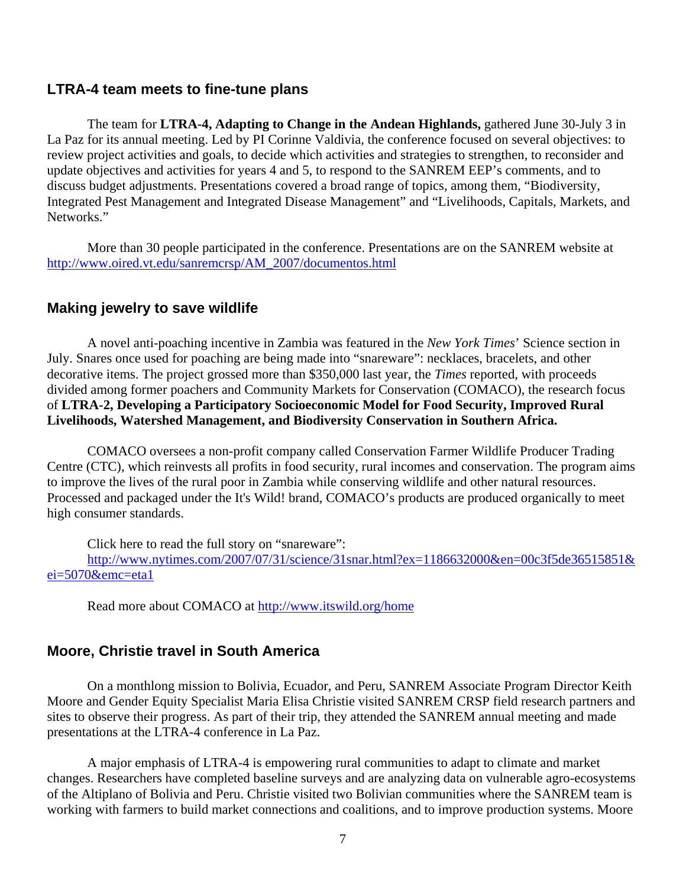#### <span id="page-6-0"></span>**LTRA-4 team meets to fine-tune plans**

The team for **LTRA-4, Adapting to Change in the Andean Highlands,** gathered June 30-July 3 in La Paz for its annual meeting. Led by PI Corinne Valdivia, the conference focused on several objectives: to review project activities and goals, to decide which activities and strategies to strengthen, to reconsider and update objectives and activities for years 4 and 5, to respond to the SANREM EEP's comments, and to discuss budget adjustments. Presentations covered a broad range of topics, among them, "Biodiversity, Integrated Pest Management and Integrated Disease Management" and "Livelihoods, Capitals, Markets, and Networks."

More than 30 people participated in the conference. Presentations are on the SANREM website at [http://www.oired.vt.edu/sanremcrsp/AM\\_2007/documentos.html](http://www.oired.vt.edu/sanremcrsp/AM_2007/documentos.html)

#### **Making jewelry to save wildlife**

A novel anti-poaching incentive in Zambia was featured in the *New York Times*' Science section in July. Snares once used for poaching are being made into "snareware": necklaces, bracelets, and other decorative items. The project grossed more than \$350,000 last year, the *Times* reported, with proceeds divided among former poachers and Community Markets for Conservation (COMACO), the research focus of **LTRA-2, Developing a Participatory Socioeconomic Model for Food Security, Improved Rural Livelihoods, Watershed Management, and Biodiversity Conservation in Southern Africa.**

COMACO oversees a non-profit company called Conservation Farmer Wildlife Producer Trading Centre (CTC), which reinvests all profits in food security, rural incomes and conservation. The program aims to improve the lives of the rural poor in Zambia while conserving wildlife and other natural resources. Processed and packaged under the It's Wild! brand, COMACO's products are produced organically to meet high consumer standards.

Click here to read the full story on "snareware": [http://www.nytimes.com/2007/07/31/science/31snar.html?ex=1186632000&en=00c3f5de36515851&](http://www.nytimes.com/2007/07/31/science/31snar.html?ex=1186632000&en=00c3f5de36515851&ei=5070&emc=eta1) [ei=5070&emc=eta1](http://www.nytimes.com/2007/07/31/science/31snar.html?ex=1186632000&en=00c3f5de36515851&ei=5070&emc=eta1)

Read more about COMACO at<http://www.itswild.org/home>

#### **Moore, Christie travel in South America**

On a monthlong mission to Bolivia, Ecuador, and Peru, SANREM Associate Program Director Keith Moore and Gender Equity Specialist Maria Elisa Christie visited SANREM CRSP field research partners and sites to observe their progress. As part of their trip, they attended the SANREM annual meeting and made presentations at the LTRA-4 conference in La Paz.

A major emphasis of LTRA-4 is empowering rural communities to adapt to climate and market changes. Researchers have completed baseline surveys and are analyzing data on vulnerable agro-ecosystems of the Altiplano of Bolivia and Peru. Christie visited two Bolivian communities where the SANREM team is working with farmers to build market connections and coalitions, and to improve production systems. Moore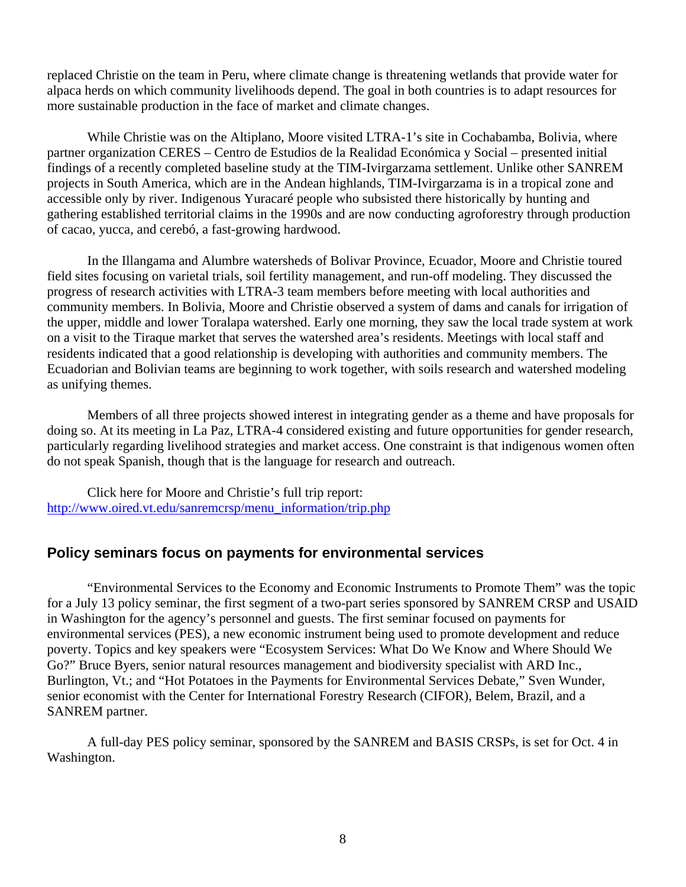<span id="page-7-0"></span>replaced Christie on the team in Peru, where climate change is threatening wetlands that provide water for alpaca herds on which community livelihoods depend. The goal in both countries is to adapt resources for more sustainable production in the face of market and climate changes.

While Christie was on the Altiplano, Moore visited LTRA-1's site in Cochabamba, Bolivia, where partner organization CERES – Centro de Estudios de la Realidad Económica y Social – presented initial findings of a recently completed baseline study at the TIM-Ivirgarzama settlement. Unlike other SANREM projects in South America, which are in the Andean highlands, TIM-Ivirgarzama is in a tropical zone and accessible only by river. Indigenous Yuracaré people who subsisted there historically by hunting and gathering established territorial claims in the 1990s and are now conducting agroforestry through production of cacao, yucca, and cerebó, a fast-growing hardwood.

In the Illangama and Alumbre watersheds of Bolivar Province, Ecuador, Moore and Christie toured field sites focusing on varietal trials, soil fertility management, and run-off modeling. They discussed the progress of research activities with LTRA-3 team members before meeting with local authorities and community members. In Bolivia, Moore and Christie observed a system of dams and canals for irrigation of the upper, middle and lower Toralapa watershed. Early one morning, they saw the local trade system at work on a visit to the Tiraque market that serves the watershed area's residents. Meetings with local staff and residents indicated that a good relationship is developing with authorities and community members. The Ecuadorian and Bolivian teams are beginning to work together, with soils research and watershed modeling as unifying themes.

Members of all three projects showed interest in integrating gender as a theme and have proposals for doing so. At its meeting in La Paz, LTRA-4 considered existing and future opportunities for gender research, particularly regarding livelihood strategies and market access. One constraint is that indigenous women often do not speak Spanish, though that is the language for research and outreach.

Click here for Moore and Christie's full trip report: [http://www.oired.vt.edu/sanremcrsp/menu\\_information/trip.php](http://www.oired.vt.edu/sanremcrsp/menu_information/trip.php)

#### **Policy seminars focus on payments for environmental services**

"Environmental Services to the Economy and Economic Instruments to Promote Them" was the topic for a July 13 policy seminar, the first segment of a two-part series sponsored by SANREM CRSP and USAID in Washington for the agency's personnel and guests. The first seminar focused on payments for environmental services (PES), a new economic instrument being used to promote development and reduce poverty. Topics and key speakers were "Ecosystem Services: What Do We Know and Where Should We Go?" Bruce Byers, senior natural resources management and biodiversity specialist with ARD Inc., Burlington, Vt.; and "Hot Potatoes in the Payments for Environmental Services Debate," Sven Wunder, senior economist with the Center for International Forestry Research (CIFOR), Belem, Brazil, and a SANREM partner.

A full-day PES policy seminar, sponsored by the SANREM and BASIS CRSPs, is set for Oct. 4 in Washington.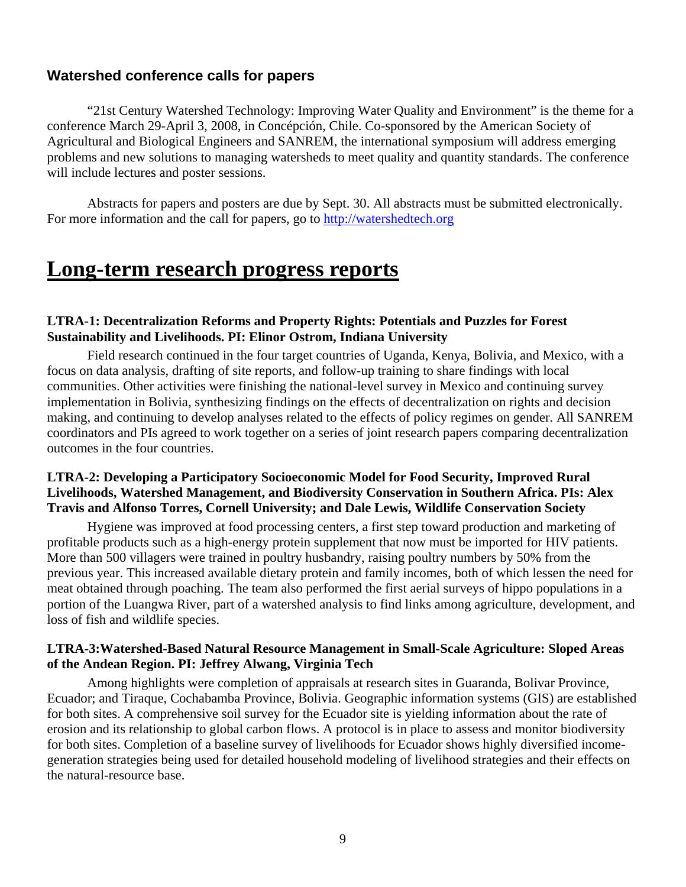#### <span id="page-8-0"></span>**Watershed conference calls for papers**

"21st Century Watershed Technology: Improving Water Quality and Environment" is the theme for a conference March 29-April 3, 2008, in Concépción, Chile. Co-sponsored by the American Society of Agricultural and Biological Engineers and SANREM, the international symposium will address emerging problems and new solutions to managing watersheds to meet quality and quantity standards. The conference will include lectures and poster sessions.

Abstracts for papers and posters are due by Sept. 30. All abstracts must be submitted electronically. For more information and the call for papers, go to [http://watershedtech.org](http://watershedtech.org/)

### **Long-term research progress reports**

#### **LTRA-1: Decentralization Reforms and Property Rights: Potentials and Puzzles for Forest Sustainability and Livelihoods. PI: Elinor Ostrom, Indiana University**

Field research continued in the four target countries of Uganda, Kenya, Bolivia, and Mexico, with a focus on data analysis, drafting of site reports, and follow-up training to share findings with local communities. Other activities were finishing the national-level survey in Mexico and continuing survey implementation in Bolivia, synthesizing findings on the effects of decentralization on rights and decision making, and continuing to develop analyses related to the effects of policy regimes on gender. All SANREM coordinators and PIs agreed to work together on a series of joint research papers comparing decentralization outcomes in the four countries.

#### **LTRA-2: Developing a Participatory Socioeconomic Model for Food Security, Improved Rural Livelihoods, Watershed Management, and Biodiversity Conservation in Southern Africa. PIs: Alex Travis and Alfonso Torres, Cornell University; and Dale Lewis, Wildlife Conservation Society**

Hygiene was improved at food processing centers, a first step toward production and marketing of profitable products such as a high-energy protein supplement that now must be imported for HIV patients. More than 500 villagers were trained in poultry husbandry, raising poultry numbers by 50% from the previous year. This increased available dietary protein and family incomes, both of which lessen the need for meat obtained through poaching. The team also performed the first aerial surveys of hippo populations in a portion of the Luangwa River, part of a watershed analysis to find links among agriculture, development, and loss of fish and wildlife species.

#### **LTRA-3:Watershed-Based Natural Resource Management in Small-Scale Agriculture: Sloped Areas of the Andean Region. PI: Jeffrey Alwang, Virginia Tech**

Among highlights were completion of appraisals at research sites in Guaranda, Bolivar Province, Ecuador; and Tiraque, Cochabamba Province, Bolivia. Geographic information systems (GIS) are established for both sites. A comprehensive soil survey for the Ecuador site is yielding information about the rate of erosion and its relationship to global carbon flows. A protocol is in place to assess and monitor biodiversity for both sites. Completion of a baseline survey of livelihoods for Ecuador shows highly diversified incomegeneration strategies being used for detailed household modeling of livelihood strategies and their effects on the natural-resource base.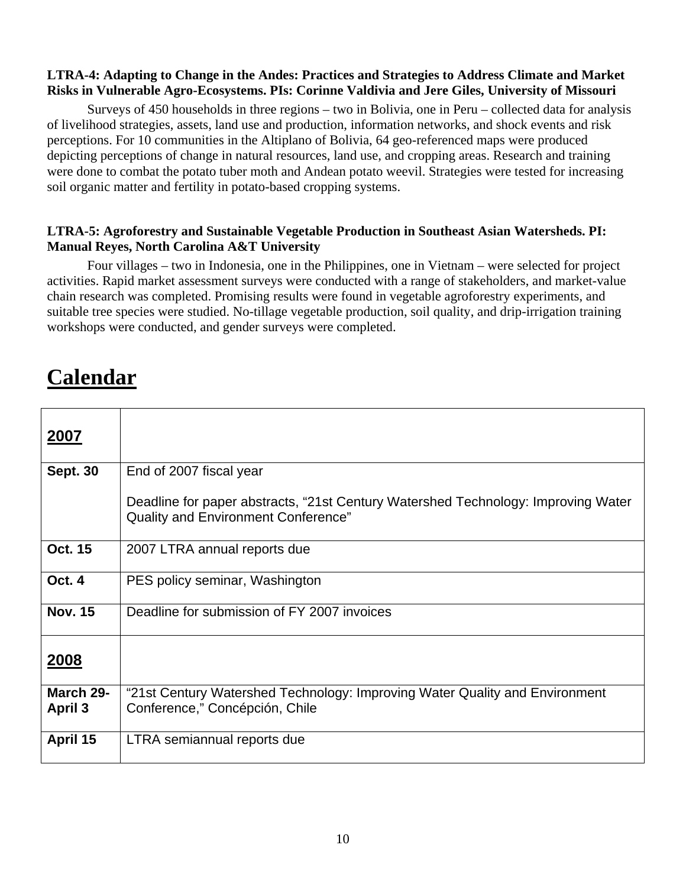#### <span id="page-9-0"></span>**LTRA-4: Adapting to Change in the Andes: Practices and Strategies to Address Climate and Market Risks in Vulnerable Agro-Ecosystems. PIs: Corinne Valdivia and Jere Giles, University of Missouri**

Surveys of 450 households in three regions – two in Bolivia, one in Peru – collected data for analysis of livelihood strategies, assets, land use and production, information networks, and shock events and risk perceptions. For 10 communities in the Altiplano of Bolivia, 64 geo-referenced maps were produced depicting perceptions of change in natural resources, land use, and cropping areas. Research and training were done to combat the potato tuber moth and Andean potato weevil. Strategies were tested for increasing soil organic matter and fertility in potato-based cropping systems.

#### **LTRA-5: Agroforestry and Sustainable Vegetable Production in Southeast Asian Watersheds. PI: Manual Reyes, North Carolina A&T University**

Four villages – two in Indonesia, one in the Philippines, one in Vietnam – were selected for project activities. Rapid market assessment surveys were conducted with a range of stakeholders, and market-value chain research was completed. Promising results were found in vegetable agroforestry experiments, and suitable tree species were studied. No-tillage vegetable production, soil quality, and drip-irrigation training workshops were conducted, and gender surveys were completed.

# **Calendar**

| 2007                        |                                                                                                                          |
|-----------------------------|--------------------------------------------------------------------------------------------------------------------------|
| <b>Sept. 30</b>             | End of 2007 fiscal year                                                                                                  |
|                             | Deadline for paper abstracts, "21st Century Watershed Technology: Improving Water<br>Quality and Environment Conference" |
| <b>Oct. 15</b>              | 2007 LTRA annual reports due                                                                                             |
| Oct. 4                      | PES policy seminar, Washington                                                                                           |
| <b>Nov. 15</b>              | Deadline for submission of FY 2007 invoices                                                                              |
| 2008                        |                                                                                                                          |
| March 29-<br><b>April 3</b> | "21st Century Watershed Technology: Improving Water Quality and Environment<br>Conference," Concépción, Chile            |
| April 15                    | LTRA semiannual reports due                                                                                              |